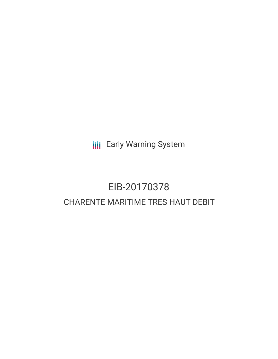**III** Early Warning System

# EIB-20170378 CHARENTE MARITIME TRES HAUT DEBIT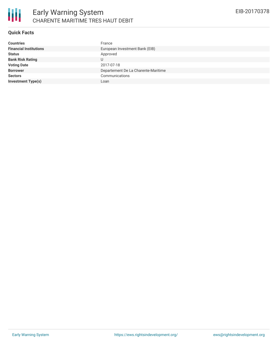

#### **Quick Facts**

| <b>Countries</b>              | France                              |
|-------------------------------|-------------------------------------|
| <b>Financial Institutions</b> | European Investment Bank (EIB)      |
| <b>Status</b>                 | Approved                            |
| <b>Bank Risk Rating</b>       |                                     |
| <b>Voting Date</b>            | 2017-07-18                          |
| <b>Borrower</b>               | Departement De La Charente-Maritime |
| <b>Sectors</b>                | Communications                      |
| <b>Investment Type(s)</b>     | Loan                                |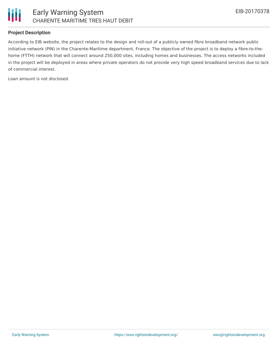

#### **Project Description**

According to EIB website, the project relates to the design and roll-out of a publicly owned fibre broadband network public initiative network (PIN) in the Charente-Maritime department, France. The objective of the project is to deploy a fibre-to-thehome (FTTH) network that will connect around 250,000 sites, including homes and businesses. The access networks included in the project will be deployed in areas where private operators do not provide very high speed broadband services due to lack of commercial interest.

Loan amount is not disclosed.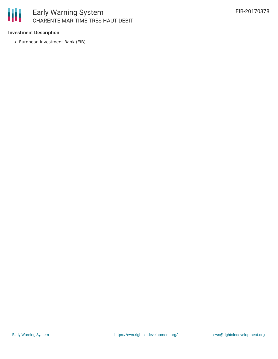

## Early Warning System CHARENTE MARITIME TRES HAUT DEBIT

#### **Investment Description**

European Investment Bank (EIB)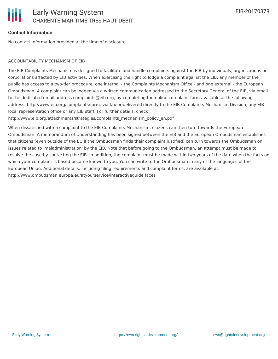#### **Contact Information**

No contact information provided at the time of disclosure.

#### ACCOUNTABILITY MECHANISM OF EIB

The EIB Complaints Mechanism is designed to facilitate and handle complaints against the EIB by individuals, organizations or corporations affected by EIB activities. When exercising the right to lodge a complaint against the EIB, any member of the public has access to a two-tier procedure, one internal - the Complaints Mechanism Office - and one external - the European Ombudsman. A complaint can be lodged via a written communication addressed to the Secretary General of the EIB, via email to the dedicated email address complaints@eib.org, by completing the online complaint form available at the following address: http://www.eib.org/complaints/form, via fax or delivered directly to the EIB Complaints Mechanism Division, any EIB local representation office or any EIB staff. For further details, check:

http://www.eib.org/attachments/strategies/complaints\_mechanism\_policy\_en.pdf

When dissatisfied with a complaint to the EIB Complaints Mechanism, citizens can then turn towards the European Ombudsman. A memorandum of Understanding has been signed between the EIB and the European Ombudsman establishes that citizens (even outside of the EU if the Ombudsman finds their complaint justified) can turn towards the Ombudsman on issues related to 'maladministration' by the EIB. Note that before going to the Ombudsman, an attempt must be made to resolve the case by contacting the EIB. In addition, the complaint must be made within two years of the date when the facts on which your complaint is based became known to you. You can write to the Ombudsman in any of the languages of the European Union. Additional details, including filing requirements and complaint forms, are available at: http://www.ombudsman.europa.eu/atyourservice/interactiveguide.faces